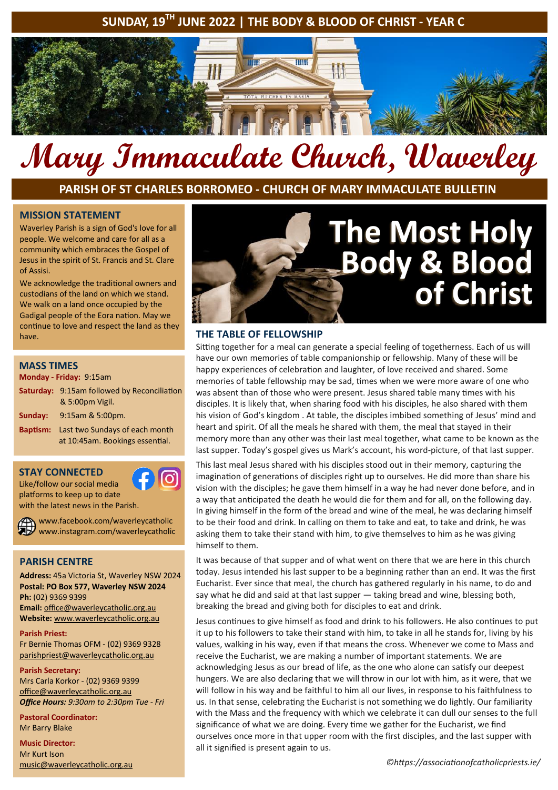# **SUNDAY, 19TH JUNE 2022 | THE BODY & BLOOD OF CHRIST - YEAR C**



# **Mary Immaculate Church, Waverley**

**PARISH OF ST CHARLES BORROMEO - CHURCH OF MARY IMMACULATE BULLETIN**

#### **MISSION STATEMENT**

Waverley Parish is a sign of God's love for all people. We welcome and care for all as a community which embraces the Gospel of Jesus in the spirit of St. Francis and St. Clare of Assisi.

We acknowledge the traditional owners and custodians of the land on which we stand. We walk on a land once occupied by the Gadigal people of the Eora nation. May we continue to love and respect the land as they have.

#### **MASS TIMES**

#### **Monday - Friday:** 9:15am

|         | <b>Saturday: 9:15am followed by Reconciliation</b><br>& 5:00pm Vigil. |
|---------|-----------------------------------------------------------------------|
| Sunday: | $9:15$ am & 5:00pm.                                                   |

**Baptism:** Last two Sundays of each month at 10:45am. Bookings essential.

#### **STAY CONNECTED**

Like/follow our social media platforms to keep up to date with the latest news in the Parish.

www.facebook.com/waverleycatholic www.instagram.com/waverleycatholic

# **PARISH CENTRE**

**Address:** 45a Victoria St, Waverley NSW 2024 **Postal: PO Box 577, Waverley NSW 2024 Ph:** (02) 9369 9399 **Email:** office@waverleycatholic.org.au **Website:** www.waverleycatholic.org.au

**Parish Priest:** 

Fr Bernie Thomas OFM - (02) 9369 9328 parishpriest@waverleycatholic.org.au

#### **Parish Secretary:**

Mrs Carla Korkor - (02) 9369 9399 office@waverleycatholic.org.au *Office Hours: 9:30am to 2:30pm Tue - Fri*

**Pastoral Coordinator:**  Mr Barry Blake

**Music Director:**  Mr Kurt Ison music@waverleycatholic.org.au



#### **THE TABLE OF FELLOWSHIP**

Sitting together for a meal can generate a special feeling of togetherness. Each of us will have our own memories of table companionship or fellowship. Many of these will be happy experiences of celebration and laughter, of love received and shared. Some memories of table fellowship may be sad, times when we were more aware of one who was absent than of those who were present. Jesus shared table many times with his disciples. It is likely that, when sharing food with his disciples, he also shared with them his vision of God's kingdom . At table, the disciples imbibed something of Jesus' mind and heart and spirit. Of all the meals he shared with them, the meal that stayed in their memory more than any other was their last meal together, what came to be known as the last supper. Today's gospel gives us Mark's account, his word-picture, of that last supper.

This last meal Jesus shared with his disciples stood out in their memory, capturing the imagination of generations of disciples right up to ourselves. He did more than share his vision with the disciples; he gave them himself in a way he had never done before, and in a way that anticipated the death he would die for them and for all, on the following day. In giving himself in the form of the bread and wine of the meal, he was declaring himself to be their food and drink. In calling on them to take and eat, to take and drink, he was asking them to take their stand with him, to give themselves to him as he was giving himself to them.

It was because of that supper and of what went on there that we are here in this church today. Jesus intended his last supper to be a beginning rather than an end. It was the first Eucharist. Ever since that meal, the church has gathered regularly in his name, to do and say what he did and said at that last supper — taking bread and wine, blessing both, breaking the bread and giving both for disciples to eat and drink.

Jesus continues to give himself as food and drink to his followers. He also continues to put it up to his followers to take their stand with him, to take in all he stands for, living by his values, walking in his way, even if that means the cross. Whenever we come to Mass and receive the Eucharist, we are making a number of important statements. We are acknowledging Jesus as our bread of life, as the one who alone can satisfy our deepest hungers. We are also declaring that we will throw in our lot with him, as it were, that we will follow in his way and be faithful to him all our lives, in response to his faithfulness to us. In that sense, celebrating the Eucharist is not something we do lightly. Our familiarity with the Mass and the frequency with which we celebrate it can dull our senses to the full significance of what we are doing. Every time we gather for the Eucharist, we find ourselves once more in that upper room with the first disciples, and the last supper with all it signified is present again to us.

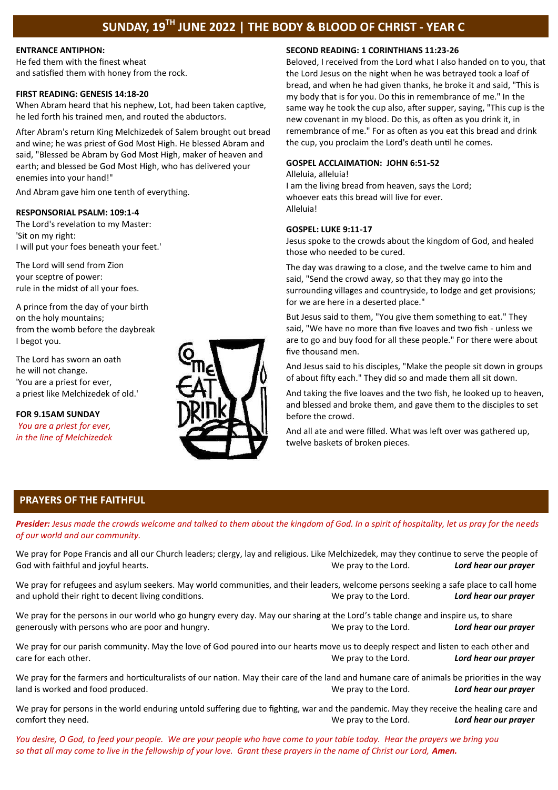# **SUNDAY, 19TH JUNE 2022 | THE BODY & BLOOD OF CHRIST - YEAR C**

#### **ENTRANCE ANTIPHON:**

He fed them with the finest wheat and satisfied them with honey from the rock.

#### **FIRST READING: GENESIS 14:18-20**

When Abram heard that his nephew, Lot, had been taken captive, he led forth his trained men, and routed the abductors.

After Abram's return King Melchizedek of Salem brought out bread and wine; he was priest of God Most High. He blessed Abram and said, "Blessed be Abram by God Most High, maker of heaven and earth; and blessed be God Most High, who has delivered your enemies into your hand!"

And Abram gave him one tenth of everything.

#### **RESPONSORIAL PSALM: 109:1-4**

The Lord's revelation to my Master: 'Sit on my right: I will put your foes beneath your feet.'

The Lord will send from Zion your sceptre of power: rule in the midst of all your foes.

A prince from the day of your birth on the holy mountains; from the womb before the daybreak I begot you.

The Lord has sworn an oath he will not change. 'You are a priest for ever, a priest like Melchizedek of old.'

**FOR 9.15AM SUNDAY**  *You are a priest for ever, in the line of Melchizedek*



#### **SECOND READING: 1 CORINTHIANS 11:23-26**

Beloved, I received from the Lord what I also handed on to you, that the Lord Jesus on the night when he was betrayed took a loaf of bread, and when he had given thanks, he broke it and said, "This is my body that is for you. Do this in remembrance of me." In the same way he took the cup also, after supper, saying, "This cup is the new covenant in my blood. Do this, as often as you drink it, in remembrance of me." For as often as you eat this bread and drink the cup, you proclaim the Lord's death until he comes.

#### **GOSPEL ACCLAIMATION: JOHN 6:51-52**

Alleluia, alleluia! I am the living bread from heaven, says the Lord; whoever eats this bread will live for ever. Alleluia!

#### **GOSPEL: LUKE 9:11-17**

Jesus spoke to the crowds about the kingdom of God, and healed those who needed to be cured.

The day was drawing to a close, and the twelve came to him and said, "Send the crowd away, so that they may go into the surrounding villages and countryside, to lodge and get provisions; for we are here in a deserted place."

But Jesus said to them, "You give them something to eat." They said, "We have no more than five loaves and two fish - unless we are to go and buy food for all these people." For there were about five thousand men.

And Jesus said to his disciples, "Make the people sit down in groups of about fifty each." They did so and made them all sit down.

And taking the five loaves and the two fish, he looked up to heaven, and blessed and broke them, and gave them to the disciples to set before the crowd.

And all ate and were filled. What was left over was gathered up, twelve baskets of broken pieces.

#### **PRAYERS OF THE FAITHFUL**

*Presider: Jesus made the crowds welcome and talked to them about the kingdom of God. In a spirit of hospitality, let us pray for the needs of our world and our community.* 

We pray for Pope Francis and all our Church leaders; clergy, lay and religious. Like Melchizedek, may they continue to serve the people of God with faithful and joyful hearts. We pray to the Lord. *Lord hear our prayer*

We pray for refugees and asylum seekers. May world communities, and their leaders, welcome persons seeking a safe place to call home and uphold their right to decent living conditions. We pray to the Lord. *Lord hear our prayer*

We pray for the persons in our world who go hungry every day. May our sharing at the Lord's table change and inspire us, to share generously with persons who are poor and hungry. We pray to the Lord. *Lord hear our prayer*

We pray for our parish community. May the love of God poured into our hearts move us to deeply respect and listen to each other and care for each other. We pray to the Lord. *Lord hear our prayer*

We pray for the farmers and horticulturalists of our nation. May their care of the land and humane care of animals be priorities in the way land is worked and food produced. We pray to the Lord. *Lord hear our prayer*

We pray for persons in the world enduring untold suffering due to fighting, war and the pandemic. May they receive the healing care and comfort they need. We pray to the Lord. *Lord hear our prayer*

*You desire, O God, to feed your people. We are your people who have come to your table today. Hear the prayers we bring you so that all may come to live in the fellowship of your love. Grant these prayers in the name of Christ our Lord, Amen.*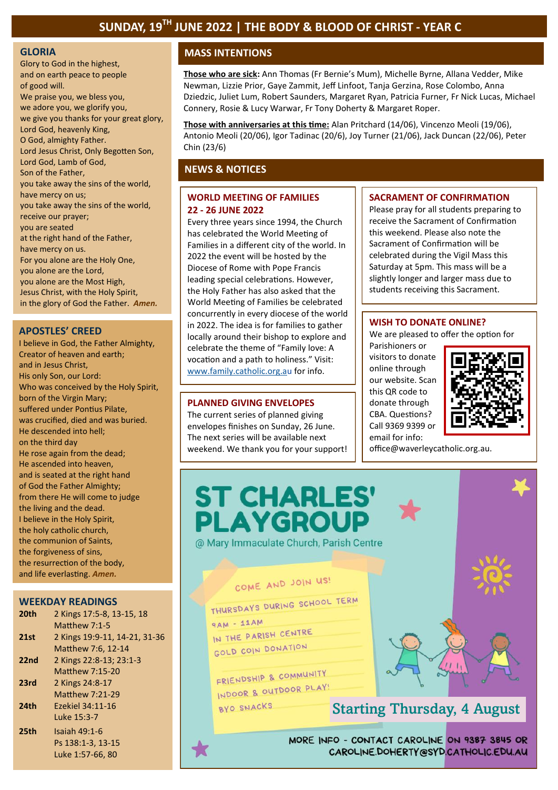Glory to God in the highest, and on earth peace to people of good will. We praise you, we bless you, we adore you, we glorify you, we give you thanks for your great glory, Lord God, heavenly King, O God, almighty Father. Lord Jesus Christ, Only Begotten Son, Lord God, Lamb of God, Son of the Father, you take away the sins of the world, have mercy on us; you take away the sins of the world, receive our prayer; you are seated at the right hand of the Father, have mercy on us. For you alone are the Holy One, you alone are the Lord, you alone are the Most High, Jesus Christ, with the Holy Spirit, in the glory of God the Father. *Amen.* 

#### **APOSTLES' CREED**

I believe in God, the Father Almighty, Creator of heaven and earth; and in Jesus Christ, His only Son, our Lord: Who was conceived by the Holy Spirit, born of the Virgin Mary; suffered under Pontius Pilate, was crucified, died and was buried. He descended into hell; on the third day He rose again from the dead; He ascended into heaven, and is seated at the right hand of God the Father Almighty; from there He will come to judge the living and the dead. I believe in the Holy Spirit, the holy catholic church, the communion of Saints, the forgiveness of sins, the resurrection of the body, and life everlasting. *Amen.*

#### **WEEKDAY READINGS**

| 20th             | 2 Kings 17:5-8, 13-15, 18     |
|------------------|-------------------------------|
|                  | Matthew $7:1-5$               |
| 21st             | 2 Kings 19:9-11, 14-21, 31-36 |
|                  | Matthew 7:6, 12-14            |
| 22 <sub>nd</sub> | 2 Kings 22:8-13; 23:1-3       |
|                  | Matthew 7:15-20               |
| 23rd             | 2 Kings 24:8-17               |
|                  | <b>Matthew 7:21-29</b>        |
| 24th             | Ezekiel 34:11-16              |
|                  | Luke 15:3-7                   |
| 25th             | Isaiah 49:1-6                 |
|                  | Ps 138:1-3, 13-15             |
|                  | Luke 1:57-66. 80              |

# **GLORIA MASS INTENTIONS**

**Those who are sick:** Ann Thomas (Fr Bernie's Mum), Michelle Byrne, Allana Vedder, Mike Newman, Lizzie Prior, Gaye Zammit, Jeff Linfoot, Tanja Gerzina, Rose Colombo, Anna Dziedzic, Juliet Lum, Robert Saunders, Margaret Ryan, Patricia Furner, Fr Nick Lucas, Michael Connery, Rosie & Lucy Warwar, Fr Tony Doherty & Margaret Roper.

**Those with anniversaries at this time:** Alan Pritchard (14/06), Vincenzo Meoli (19/06), Antonio Meoli (20/06), Igor Tadinac (20/6), Joy Turner (21/06), Jack Duncan (22/06), Peter Chin (23/6)

## **NEWS & NOTICES**

#### **WORLD MEETING OF FAMILIES 22 - 26 JUNE 2022**

Every three years since 1994, the Church has celebrated the World Meeting of Families in a different city of the world. In 2022 the event will be hosted by the Diocese of Rome with Pope Francis leading special celebrations. However, the Holy Father has also asked that the World Meeting of Families be celebrated concurrently in every diocese of the world in 2022. The idea is for families to gather locally around their bishop to explore and celebrate the theme of "Family love: A vocation and a path to holiness." Visit: [www.family.catholic.org.au](https://pmrc.ontraport.com/c/s/2Q9/Hr51/6/rw2R/DiQ/69Cakp/sAXfk1xRNZ/P/P/Qb) for info.

#### **PLANNED GIVING ENVELOPES**

The current series of planned giving envelopes finishes on Sunday, 26 June. The next series will be available next weekend. We thank you for your support!

#### **SACRAMENT OF CONFIRMATION**

Please pray for all students preparing to receive the Sacrament of Confirmation this weekend. Please also note the Sacrament of Confirmation will be celebrated during the Vigil Mass this Saturday at 5pm. This mass will be a slightly longer and larger mass due to students receiving this Sacrament.

#### **WISH TO DONATE ONLINE?**

We are pleased to offer the option for

Parishioners or visitors to donate online through our website. Scan this QR code to donate through CBA. Questions? Call 9369 9399 or email for info:



office@waverleycatholic.org.au.



CAROLINE.DOHERTY@SYD.CATHOLIC.EDU.AU